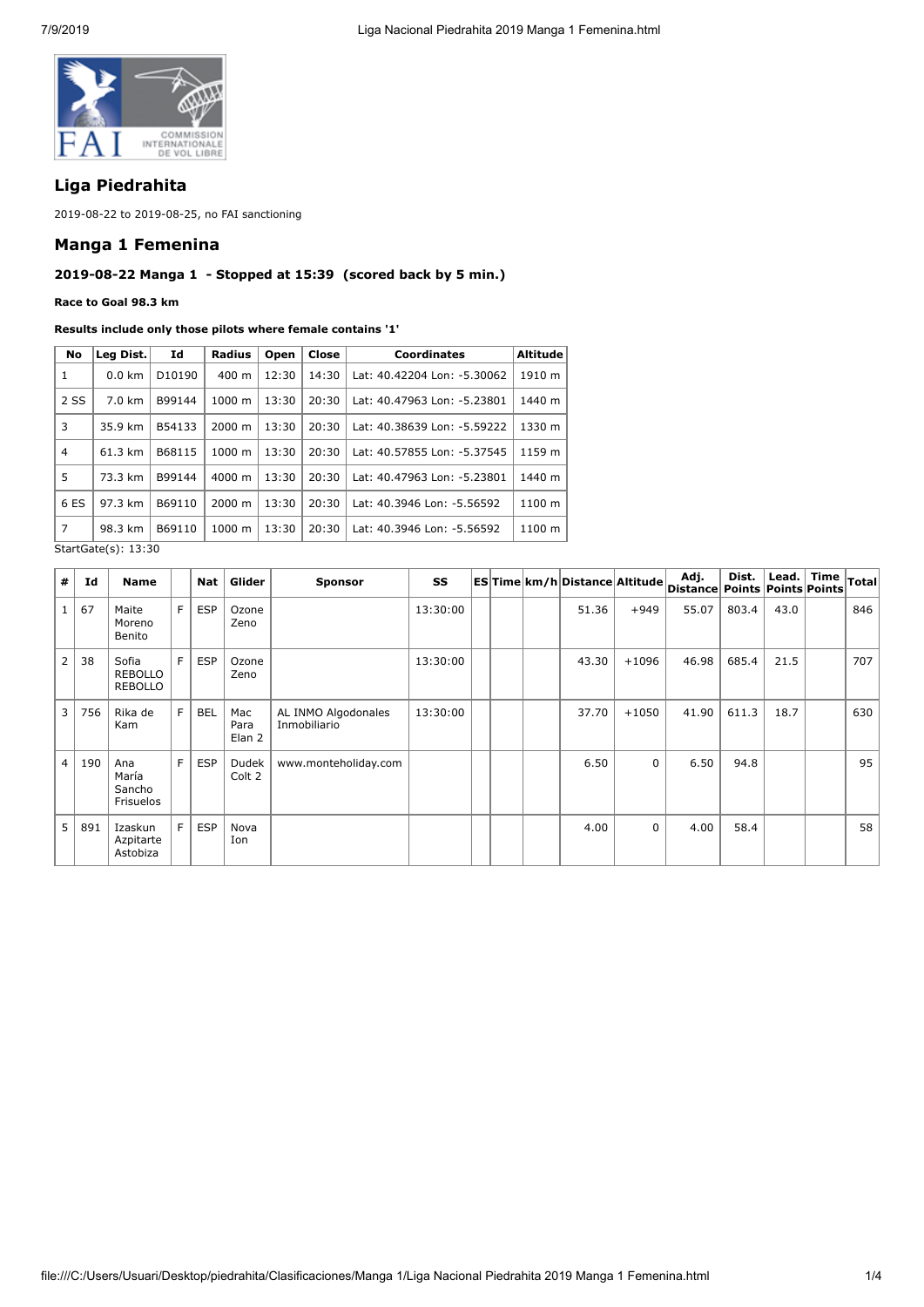

# **Liga Piedrahita**

2019-08-22 to 2019-08-25, no FAI sanctioning

### **Manga 1 Femenina**

# **2019-08-22 Manga 1 - Stopped at 15:39 (scored back by 5 min.)**

**Race to Goal 98.3 km**

#### **Results include only those pilots where female contains '1'**

| No                      | Leg Dist.        | Id                 | Radius             | Open  | Close | <b>Coordinates</b>          | Altitude |  |
|-------------------------|------------------|--------------------|--------------------|-------|-------|-----------------------------|----------|--|
| 1                       | $0.0 \text{ km}$ | D <sub>10190</sub> | $400 \text{ m}$    | 12:30 | 14:30 | Lat: 40.42204 Lon: -5.30062 | 1910 m   |  |
| 2 SS                    | $7.0 \text{ km}$ | B99144             | $1000 \;{\rm m}$   | 13:30 | 20:30 | Lat: 40.47963 Lon: -5.23801 | 1440 m   |  |
| 3                       | 35.9 km          | B54133             | $2000 \; \text{m}$ | 13:30 | 20:30 | Lat: 40.38639 Lon: -5.59222 | 1330 m   |  |
| $\overline{4}$          | 61.3 km          | B68115             | 1000 m             | 13:30 | 20:30 | Lat: 40.57855 Lon: -5.37545 | 1159 m   |  |
| 5                       | 73.3 km          | B99144             | $4000 \; \text{m}$ | 13:30 | 20:30 | Lat: 40.47963 Lon: -5.23801 | 1440 m   |  |
| 6 ES                    | 97.3 km          | B69110             | 2000 m             | 13:30 | 20:30 | Lat: 40.3946 Lon: -5.56592  | 1100 m   |  |
| $\overline{7}$          | 98.3 km          | B69110             | 1000 m             | 13:30 | 20:30 | Lat: 40.3946 Lon: -5.56592  | 1100 m   |  |
| $C+5r+C5f_0(r)$ , 13,30 |                  |                    |                    |       |       |                             |          |  |

StartGate(s): 13:30

| #              | Id  | <b>Name</b>                               |    | Nat        | Glider                | <b>Sponsor</b>                      | SS       |  | <b>ESTime km/h Distance Altitude</b> |             | Adj.<br>Distance Points Points Points | Dist. | Lead. $ $ | Time | Total |
|----------------|-----|-------------------------------------------|----|------------|-----------------------|-------------------------------------|----------|--|--------------------------------------|-------------|---------------------------------------|-------|-----------|------|-------|
| $\mathbf{1}$   | 67  | Maite<br>Moreno<br>Benito                 | F. | <b>ESP</b> | Ozone<br>Zeno         |                                     | 13:30:00 |  | 51.36                                | $+949$      | 55.07                                 | 803.4 | 43.0      |      | 846   |
| $\overline{2}$ | 38  | Sofia<br><b>REBOLLO</b><br><b>REBOLLO</b> | F. | <b>ESP</b> | Ozone<br>Zeno         |                                     | 13:30:00 |  | 43.30                                | $+1096$     | 46.98                                 | 685.4 | 21.5      |      | 707   |
| 3              | 756 | Rika de<br>Kam                            | F. | <b>BEL</b> | Mac<br>Para<br>Elan 2 | AL INMO Algodonales<br>Inmobiliario | 13:30:00 |  | 37.70                                | $+1050$     | 41.90                                 | 611.3 | 18.7      |      | 630   |
| $\overline{4}$ | 190 | Ana<br>María<br>Sancho<br>Frisuelos       | F. | <b>ESP</b> | Dudek<br>Colt 2       | www.monteholiday.com                |          |  | 6.50                                 | $\mathsf 0$ | 6.50                                  | 94.8  |           |      | 95    |
| 5              | 891 | Izaskun<br>Azpitarte<br>Astobiza          | F. | <b>ESP</b> | Nova<br>Ion           |                                     |          |  | 4.00                                 | $\mathbf 0$ | 4.00                                  | 58.4  |           |      | 58    |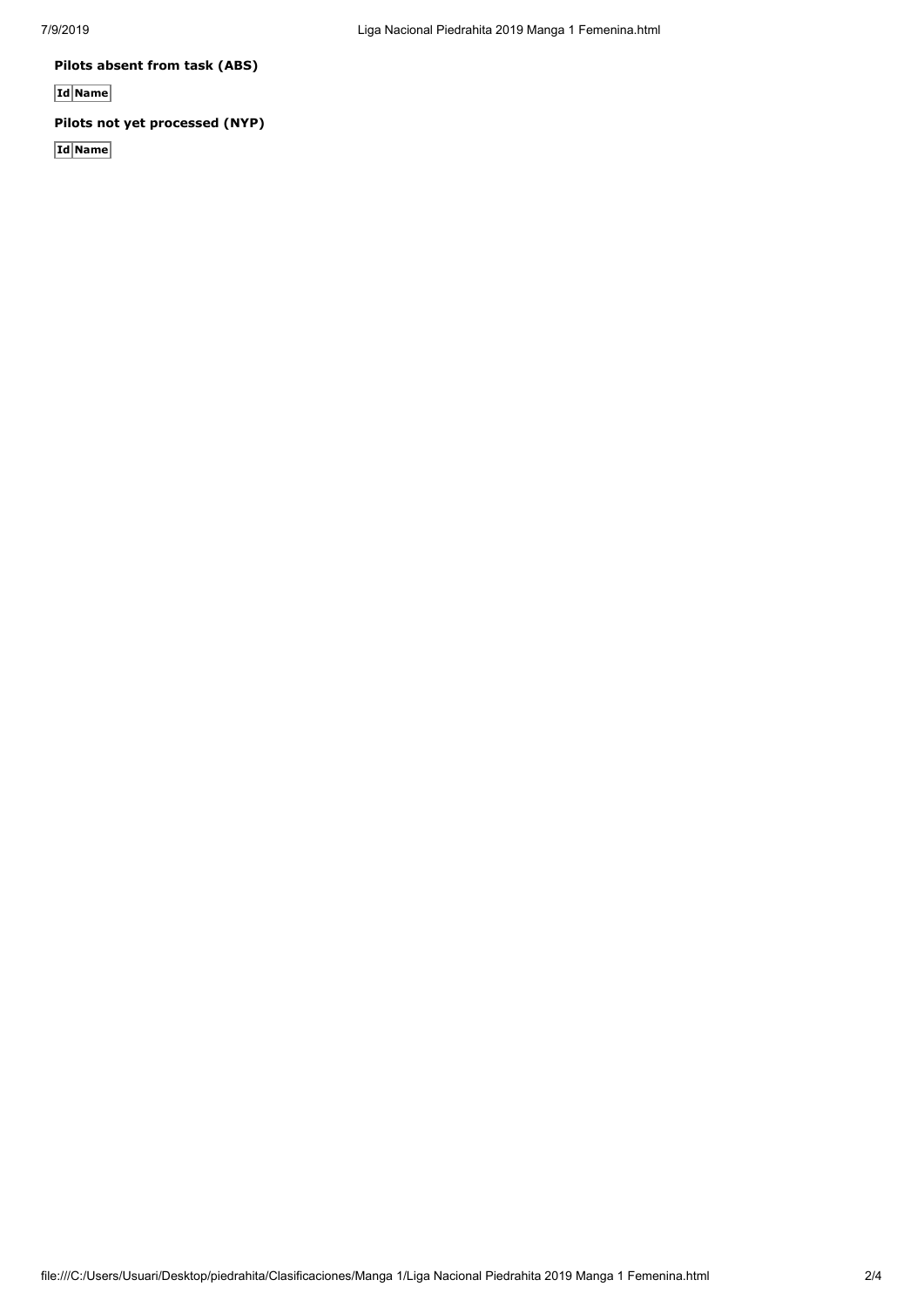**Pilots absent from task (ABS)**

**Id Name**

# **Pilots not yet processed (NYP)**

**Id Name**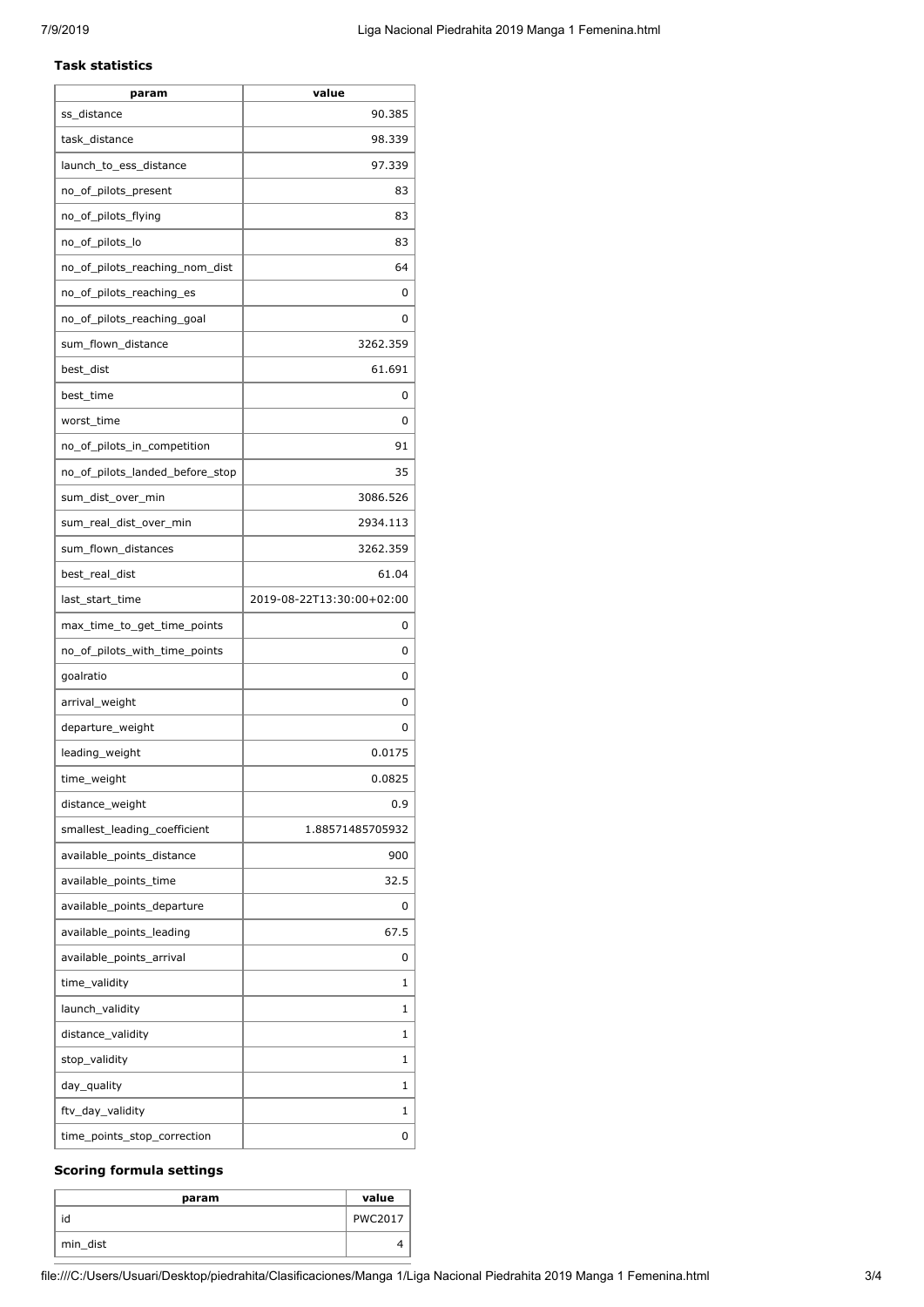#### **Task statistics**

| param                           | value                     |
|---------------------------------|---------------------------|
| ss_distance                     | 90.385                    |
| task distance                   | 98.339                    |
| launch_to_ess_distance          | 97.339                    |
| no_of_pilots_present            | 83                        |
| no_of_pilots_flying             | 83                        |
| no_of_pilots_lo                 | 83                        |
| no_of_pilots_reaching_nom_dist  | 64                        |
| no_of_pilots_reaching_es        | 0                         |
| no_of_pilots_reaching_goal      | 0                         |
| sum_flown_distance              | 3262.359                  |
| best_dist                       | 61.691                    |
| best time                       | 0                         |
| worst time                      | 0                         |
| no_of_pilots_in_competition     | 91                        |
| no of pilots landed before stop | 35                        |
| sum_dist_over_min               | 3086.526                  |
| sum_real_dist_over_min          | 2934.113                  |
| sum_flown_distances             | 3262.359                  |
| best_real_dist                  | 61.04                     |
| last_start_time                 | 2019-08-22T13:30:00+02:00 |
| max_time_to_get_time_points     | 0                         |
| no_of_pilots_with_time_points   | 0                         |
| goalratio                       | 0                         |
| arrival_weight                  | 0                         |
| departure_weight                | 0                         |
| leading_weight                  | 0.0175                    |
| time_weight                     | 0.0825                    |
| distance_weight                 | 0.9                       |
| smallest_leading_coefficient    | 1.88571485705932          |
| available_points_distance       | 900                       |
| available_points_time           | 32.5                      |
| available_points_departure      | 0                         |
| available_points_leading        | 67.5                      |
| available_points_arrival        | 0                         |
| time_validity                   | 1                         |
| launch_validity                 | 1                         |
| distance_validity               | 1                         |
| stop_validity                   | 1                         |
| day_quality                     | 1                         |
| ftv_day_validity                | 1                         |
| time_points_stop_correction     | 0                         |

### **Scoring formula settings**

| param    | value          |
|----------|----------------|
| id       | <b>PWC2017</b> |
| min_dist |                |